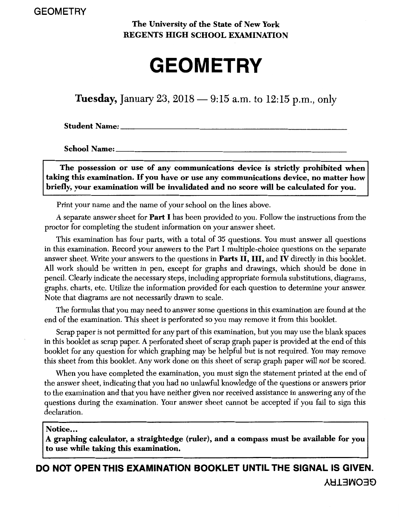The University of the State of New York REGENTS HIGH SCHOOL EXAMINATION

# **GEOMETRY**

**Tuesday, January 23, 2018 — 9:15 a.m. to 12:15 p.m., only** 

**Student Name:** 

**School Name:** 

The possession or use of any communications device is strictly prohibited when taking this examination. If you have or use any communications device, no matter how briefly, your examination will be invalidated and no score will be calculated for you.

Print your name and the name of your school on the lines above.

A separate answer sheet for **Part I** has been provided to you. Follow the instructions from the proctor for completing the student information on your answer sheet.

This examination has four parts, with a total of 35 questions. You must answer all questions in this examination. Record your answers to the Part I multiple-choice questions on the separate answer sheet. Write your answers to the questions in **Parts II, III, and IV** directly in this booklet. All work should be written in pen, except for graphs and drawings, which should be done in pencil. Clearly indicate the necessary steps, including appropriate formula substitutions, diagrams, graphs, charts, etc. Utilize the information provided for each question to determine your answer. Note that diagrams are not necessarily drawn to scale.

The formulas that you may need to answer some questions in this examination are found at the end of the examination. This sheet is perforated so you may remove it from this booklet.

Scrap paper is not permitted for any part of this examination, but you may use the blank spaces in this booklet as scrap paper. A perforated sheet of scrap graph paper is provided at the end of this booklet for any question for which graphing may be helpful but is not required. You may remove this sheet from this booklet. Any work done on this sheet of scrap graph paper will *not* be scored.

When you have completed the examination, you must sign the statement printed at the end of the answer sheet, indicating that you had no unlawful knowledge of the questions or answers prior to the examination and that you have neither given nor received assistance in answering any of the questions during the examination. Your answer sheet cannot be accepted if you fail to sign this declaration.

## Notice...

A graphing calculator, a straightedge (ruler), and a compass must be available for you to use while taking this examination.

**DO NOT OPEN THIS EXAMINATION BOOKLET UNTIL THE SIGNAL IS GIVEN. GEOMETRY**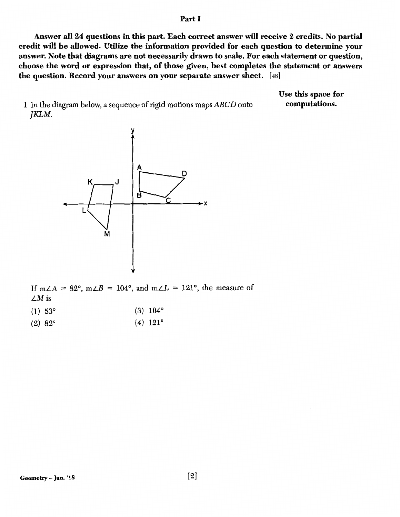### Part I

Answer all 24 questions in this part. Each correct answer will receive 2 credits. No partial credit will be allowed. Utilize the information provided for each question to determine your answer. Note that diagrams are not necessarily drawn to scale. For each statement or question, choose the word or expression that, of those given, best completes the statement or answers the question. Record your answers on your separate answer sheet. [ 48]

1 In the diagram below, a sequence of rigid motions maps *ABCD* onto JKLM.

Use this space for computations.



If  $m\angle A = 82^\circ$ ,  $m\angle B = 104^\circ$ , and  $m\angle L = 121^\circ$ , the measure of  $\angle M$  is

- $(1)$  53° (3) 104°
- (2) 82° (4) 121°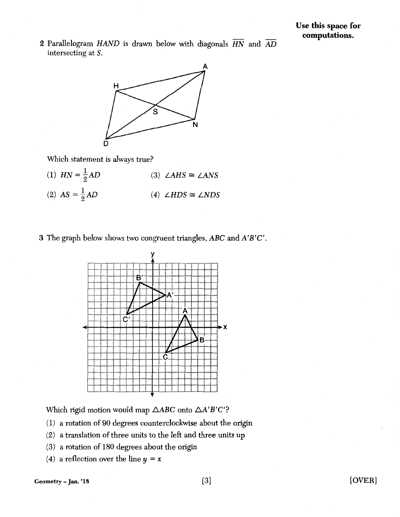2 Parallelogram HAND is drawn below with diagonals  $\overline{HN}$  and  $\overline{AD}$ intersecting at S.



Which statement is always true?

- (1)  $HN = \frac{1}{2}AD$  (3)  $\angle AHS \cong \angle ANS$ (2)  $AS = \frac{1}{2}AD$  (4)  $\angle HDS \cong \angle NDS$
- 3 The graph below shows two congruent triangles, *ABC* and *A'B'C'.*



Which rigid motion would map *6.ABC* onto *6.A'B'C'?* 

- (1) a rotation of 90 degrees counterclockwise about the origin
- (2) a translation of three units to the left and three units up
- (3) a rotation of 180 degrees about the origin
- (4) a reflection over the line  $y = x$

Geometry – Jan. '18  $[3]$ 

[OVER]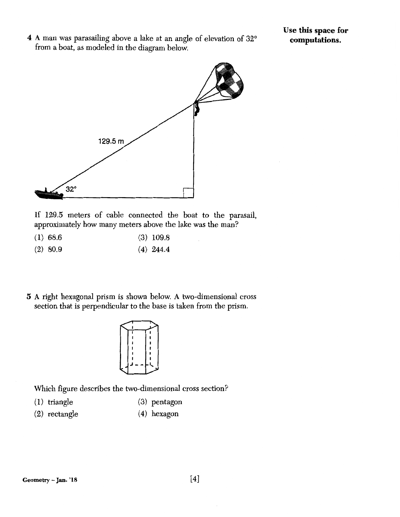4 A man was parasailing above a lake at an angle of elevation of 32° from a boat, as modeled in the diagram below.



If 129.5 meters of cable connected the boat to the parasail, approximately how many meters above the lake was the man?

- (1) 68.6 (3) 109.8
- (2) 80.9 (4) 244.4
- 5 A right hexagonal prism is shown below. A two-dimensional cross section that is perpendicular to the base is taken from the prism.



Which figure describes the two-dimensional cross section?

- (1) triangle (3) pentagon
- (2) rectangle (4) hexagon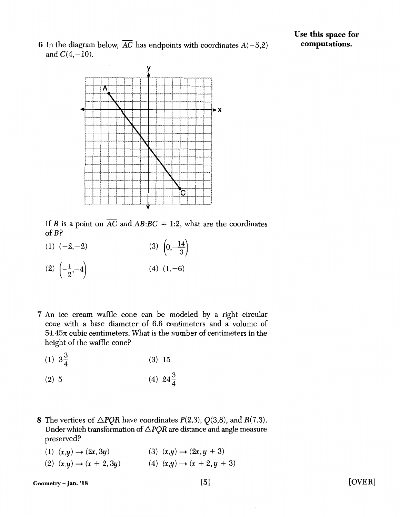**6** In the diagram below,  $\overline{AC}$  has endpoints with coordinates  $A(-5,2)$ and  $C(4, -10)$ .



If *B* is a point on  $\overline{AC}$  and  $AB:BC = 1:2$ , what are the coordinates of  $B$ ?

- (1)  $(-2,-2)$  (3)  $\left(0,-\frac{14}{3}\right)$ (2)  $\left(-\frac{1}{2},-4\right)$  $(4)$   $(1,-6)$
- **7** An ice cream waffle cone can be modeled by a right circular cone with a base diameter of 6.6 centimeters and a volume of  $54.45\pi$  cubic centimeters. What is the number of centimeters in the height of the waffle cone?
	- (1)  $3\frac{3}{4}$  (3) 15
	- (2) 5 (4)  $24\frac{3}{4}$
- **8** The vertices of  $\triangle PQR$  have coordinates  $P(2,3)$ ,  $Q(3,8)$ , and  $R(7,3)$ . Under which transformation of  $\triangle PQR$  are distance and angle measure preserved?
	- $(1) \hspace{.2cm} (x,y) \rightarrow (2x, 3y) \hspace{2.9cm} (3) \hspace{.2cm} (x,y) \rightarrow (2x, y \, + \, 3)$ (2)  $(x,y) \rightarrow (x + 2, 3y)$  (4)  $(x,y) \rightarrow (x + 2, y + 3)$

Geometry  $-$  **Jan.**  $\text{'18}$  [5]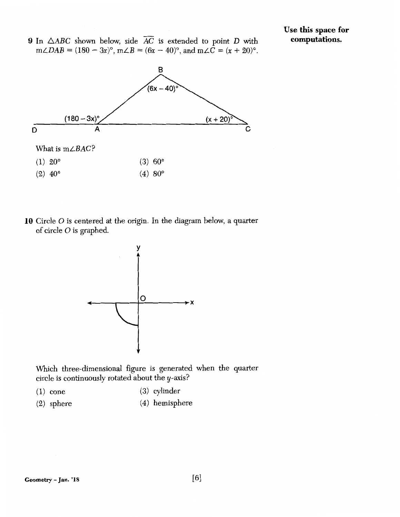9 In  $\triangle ABC$  shown below, side  $\overline{AC}$  is extended to point *D* with  $m\angle DAB = (180 - 3x)^{\circ}, m\angle B = (6x - 40)^{\circ}, \text{ and } m\angle C = (x + 20)^{\circ}.$ 



10 Circle 0 is centered at the origin. In the diagram below, a quarter of circle 0 is graphed.



Which three-dimensional figure is generated when the quarter circle is continuously rotated about the y-axis?

- (1) cone (3) cylinder
- (2) sphere (4) hemisphere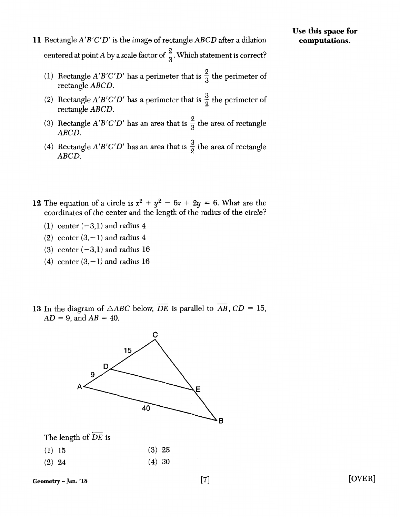- 11 Rectangle *A'B'C'D'* is the image of rectangle *ABCD* after a dilation centered at point A by a scale factor of  $\frac{2}{3}$ . Which statement is correct?
	- (1) Rectangle *A'B'C'D'* has a perimeter that is  $\frac{2}{3}$  the perimeter of rectangle *ABCD.*
	- (2) Rectangle *A'B'C'D'* has a perimeter that is  $\frac{3}{2}$  the perimeter of rectangle *ABCD.*
	- (3) Rectangle *A'B'C'D'* has an area that is  $\frac{2}{3}$  the area of rectangle *ABCD.*
	- (4) Rectangle *A'B'C'D'* has an area that is  $\frac{3}{2}$  the area of rectangle *ABCD.*
- 12 The equation of a circle is  $x^2 + y^2 6x + 2y = 6$ . What are the coordinates of the center and the length of the radius of the circle?
	- (1) center  $(-3,1)$  and radius 4
	- (2) center  $(3, -1)$  and radius 4
	- (3) center  $(-3,1)$  and radius 16
	- (4) center  $(3, -1)$  and radius 16
- 13 In the diagram of  $\triangle ABC$  below,  $\overline{DE}$  is parallel to  $\overline{AB}$ ,  $CD = 15$ ,  $AD = 9$ , and  $AB = 40$ .



The length of *DE* is

(1) 15 (2) 24 (3) 25 (4) 30

Geometry - Jan. '18

[OVER]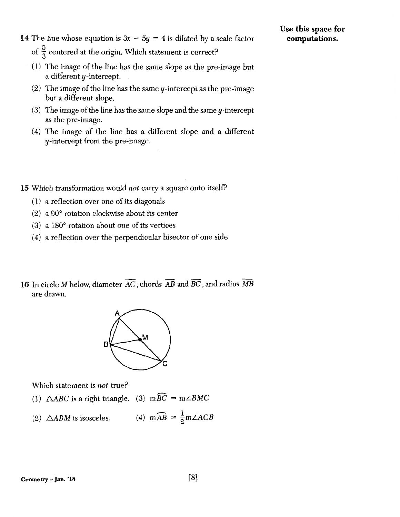- 14 The line whose equation is  $3x 5y = 4$  is dilated by a scale factor
- Use this space for computations.

- of  $\frac{5}{3}$  centered at the origin. Which statement is correct?
- (1) The image of the line has the same slope as the pre-image but a different *y*-intercept.
- (2) The image of the line has the same y-intercept as the pre-image but a different slope.
- (3) The image of the line has the same slope and the same  $y$ -intercept as the pre-image.
- ( 4) The image of the line has a different slope and a different y-intercept from the pre-image.

15 Which transformation would *not* carry a square onto itself?

- (1) a reflection over one of its diagonals
- (2) a 90° rotation clockwise about its center
- (3) a 180° rotation about one of its vertices
- ( 4) a reflection over the perpendicular bisector of one side
- 16 In circle *M* below, diameter  $\overline{AC}$ , chords  $\overline{AB}$  and  $\overline{BC}$ , and radius  $\overline{MB}$ are drawn.



Which statement is *not* true?

- (1)  $\triangle ABC$  is a right triangle. (3)  $m\widehat{BC} = m\angle BMC$
- (2)  $\triangle ABM$  is isosceles. (4)  $m\widehat{AB} = \frac{1}{2}m\angle ACB$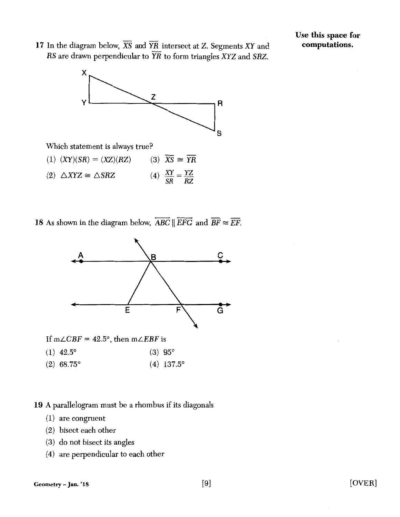17 In the diagram below,  $\overline{XS}$  and  $\overline{YR}$  intersect at Z. Segments XY and RS are drawn perpendicular to  $\overline{Y}R$  to form triangles XYZ and SRZ.



Which statement is always true?

(1)  $(XY)(SR) = (XZ)(RZ)$ (2)  $\triangle XYZ \cong \triangle S R Z$ (3)  $\overline{XS} \cong \overline{YR}$ (4)  $\frac{\Delta Y}{\Delta t} = \frac{YZ}{Y}$ SR RZ

18 As shown in the diagram below,  $\overrightarrow{ABC} \parallel \overrightarrow{EFG}$  and  $\overrightarrow{BF} \cong \overrightarrow{EF}$ .



If  $m \angle CBF = 42.5^{\circ}$ , then  $m \angle EBF$  is

- (1) 42.5° (3) 95°
- (2) 68.75° (4) 137.5°

19 A parallelogram must be a rhombus if its diagonals

- (1) are congruent
- (2) bisect each other
- (3) do not bisect its angles
- (4) are perpendicular to each other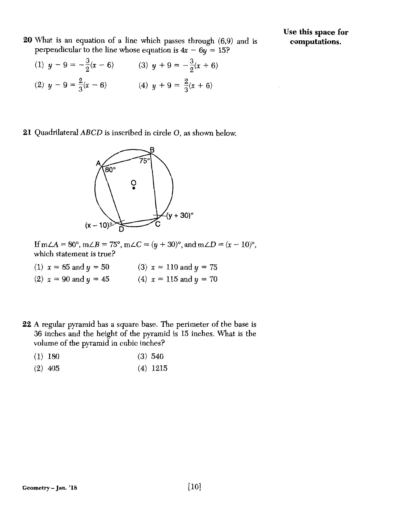20 What is an equation of a line which passes through (6,9) and is perpendicular to the line whose equation is  $4x - 6y = 15$ ?

(1) 
$$
y - 9 = -\frac{3}{2}(x - 6)
$$
  
\n(2)  $y - 9 = \frac{2}{3}(x - 6)$   
\n(3)  $y + 9 = -\frac{3}{2}(x + 6)$   
\n(4)  $y + 9 = \frac{2}{3}(x + 6)$ 

21 Quadrilateral *ABCD* is inscribed in circle 0, as shown below.



If  $m\angle A = 80^{\circ}$ ,  $m\angle B = 75^{\circ}$ ,  $m\angle C = (y + 30)^{\circ}$ , and  $m\angle D = (x - 10)^{\circ}$ , which statement is true?

- (1)  $x = 85$  and  $y = 50$ (3)  $x = 110$  and  $y = 75$
- (2)  $x = 90$  and  $y = 45$  (4)  $x = 115$  and  $y = 70$
- 22 A regular pyramid has a square base. The perimeter of the base is 36 inches and the height of the pyramid is 15 inches. What is the volume of the pyramid in cubic inches?
	- (1) 180 (3) 540
	- (2) 405 (4) 1215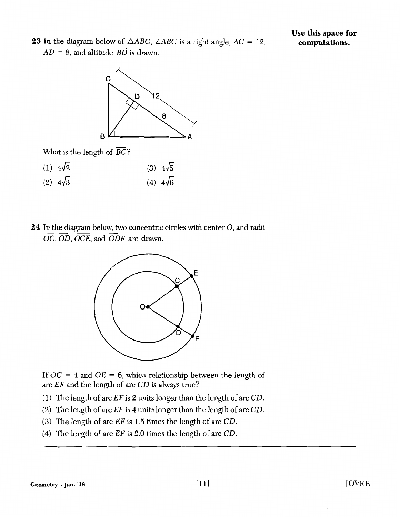**23** In the diagram below of  $\triangle ABC$ ,  $\angle ABC$  is a right angle,  $AC = 12$ ,  $AD = 8$ , and altitude  $BD$  is drawn.



What is the length of *BC?* 

- (1)  $4\sqrt{2}$ (2)  $4\sqrt{3}$  $(3)$  4 $\sqrt{5}$ (4) *4J6*
- 24 In the diagram below, two concentric circles with center O, and radii  $\overline{OC}, \overline{OD}, \overline{OCE},$  and  $\overline{ODF}$  are drawn.



If  $OC = 4$  and  $OE = 6$ , which relationship between the length of arc EF and the length of arc CD is always true?

- (1) The length of arc EF is 2 units longer than the length of arc CD.
- (2) The length of arc  $EF$  is 4 units longer than the length of arc  $CD$ .
- (3) The length of arc EF is 1.5 times the length of arc CD.
- (4) The length of arc EF is 2.0 times the length of arc CD.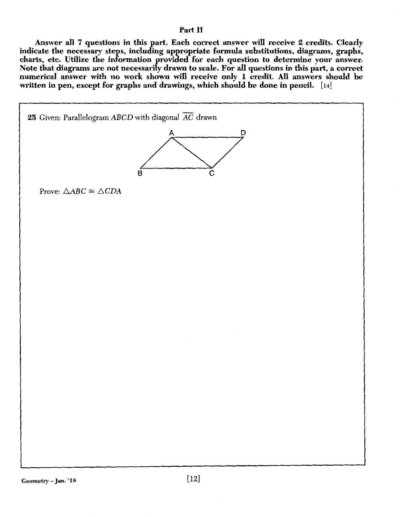## Part II

Answer all 7 questions in this part. Each correct answer will receive 2 credits. Clearly indicate the necessary steps, including appropriate formula substitutions, diagrams, graphs, charts, etc. Utilize the information provided for each question to determine your answer. Note that diagrams are not necessarily drawn to scale. For all questions in this part, a correct numerical answer with no work shown will receive only 1 credit. All answers should be written in pen, except for graphs and drawings, which should be done in pencil. [14]

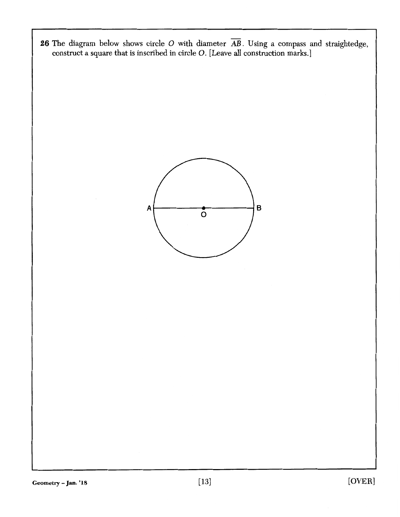26 The diagram below shows circle  $O$  with diameter  $\overline{AB}$ . Using a compass and straightedge, construct a square that is inscribed in circle 0. [Leave all construction marks.]

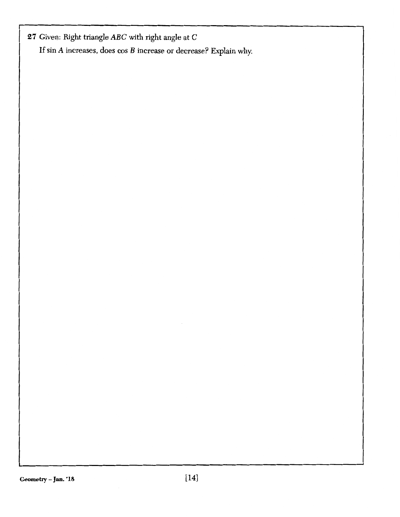**27** Given: Right triangle ABC with right angle at C

If sin *A* increases, does cos *B* increase or decrease? Explain why.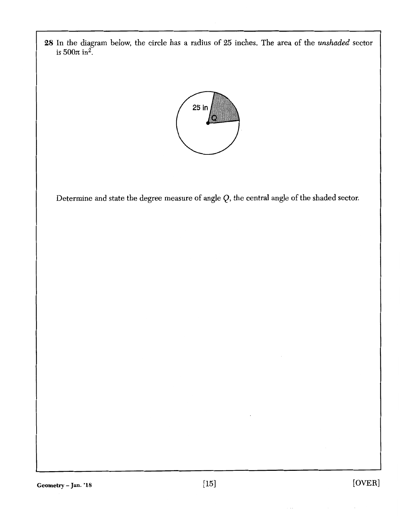28 In the diagram below, the circle has a radius of 25 inches. The area of the *unshaded* sector is  $500\pi$  in<sup>2</sup>.



Determine and state the degree measure of angle *Q,* the central angle of the shaded sector.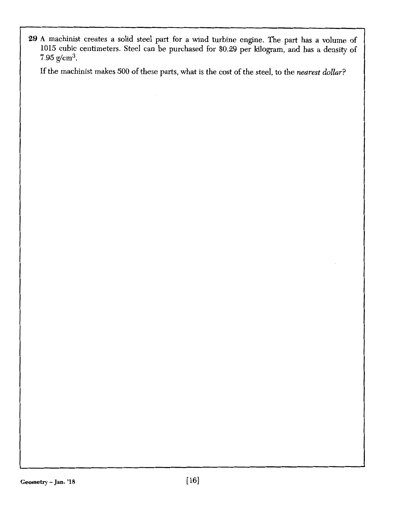29 A machinist creates a ·solid steel part for a wind turbine engine. The part has a volume of 1015 cubic centimeters. Steel can be purchased for \$0.29 per kilogram, and has a density of 7.95  $g/cm<sup>3</sup>$ .

If the machinist makes 500 of these parts, what is the cost of the steel, to the *nearest dollar?*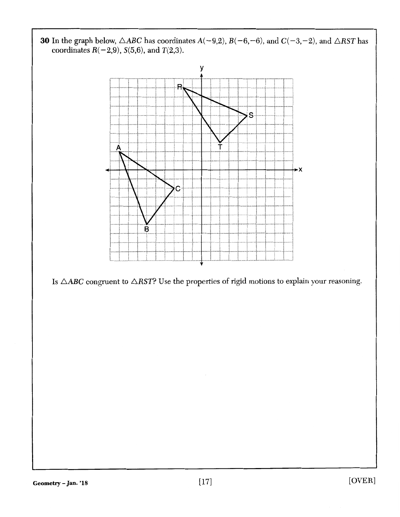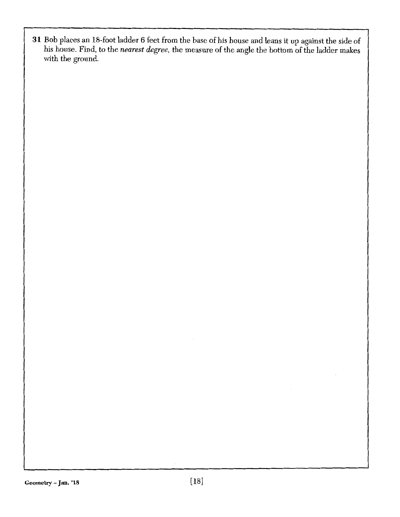31 Bob places an 18-foot ladder 6 feet from the base of his house and leans it up against the side of his house. Find, to the *nearest degree,* the measure of the angle the bottom of the ladder makes with the ground.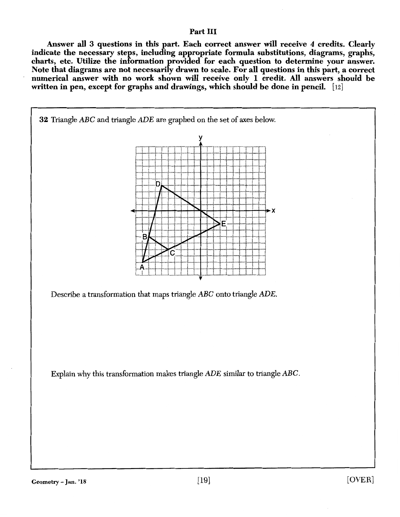#### Part III

Answer all 3 questions in this part. Each correct answer will receive 4 credits. Clearly indicate the necessary steps, including appropriate formula substitutions, diagrams, graphs, charts, etc. Utilize the information provided for each question to determine your answer. Note that diagrams are not necessarily drawn to scale. For all questions in this part, a correct numerical answer with no work shown will receive only 1 credit. All answers should be written in pen, except for graphs and drawings, which should be done in pencil. [12]

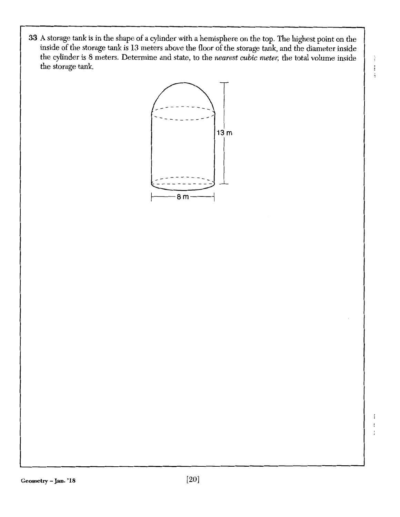**33** A storage tank is in the shape of a cylinder with a hemisphere on the top. The highest point on the inside of the storage tank is 13 meters above the floor of the storage tank, and the diameter inside the cylinder is 8 meters. Determine and state, to the *nearest cubic meter,* the total volume inside the storage tank.

 $\ddot{\dot{r}}$  $\frac{1}{3}$ 

f  $\bar{1}$  $\frac{1}{2}$ 

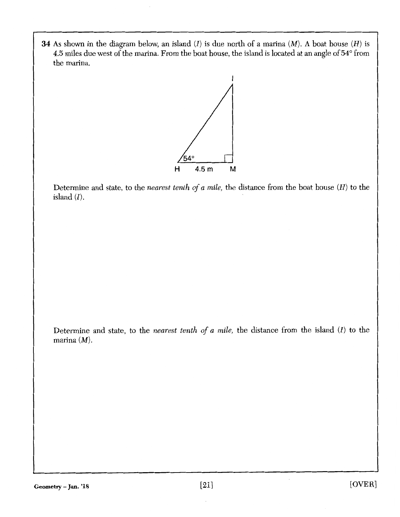**34** As shown in the diagram below, an island  $(I)$  is due north of a marina  $(M)$ . A boat house  $(H)$  is 4.5 miles due west of the marina. From the boat house, the island is located at an angle of 54° from the marina.



Determine and state, to the *nearest tenth of a mile,* the distance from the boat house (H) to the island  $(I)$ .

Determine and state, to the *nearest tenth of a mile,* the distance from the island (I) to the marina  $(M)$ .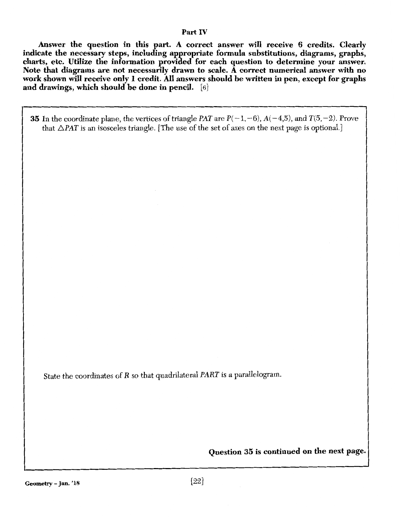#### Part IV

Answer the question in this part. A correct answer will receive 6 credits. Clearly indicate the necessary steps, including appropriate formula substitutions, diagrams, graphs, charts, etc. Utilize the information provided for each question to determine your answer. Note that diagrams are not necessarily drawn to scale. A correct numerical answer with no work shown will receive only 1 credit. All answers should be written in pen, except for graphs and drawings, which should be done in pencil.  $\lceil 6 \rceil$ 

**35** In the coordinate plane, the vertices of triangle PAT are  $P(-1,-6)$ ,  $A(-4,5)$ , and  $T(5,-2)$ . Prove that  $\triangle$ *PAT* is an isosceles triangle. [The use of the set of axes on the next page is optional.]

State the coordinates of  $R$  so that quadrilateral  $PART$  is a parallelogram.

Question 35 is continued on the next page.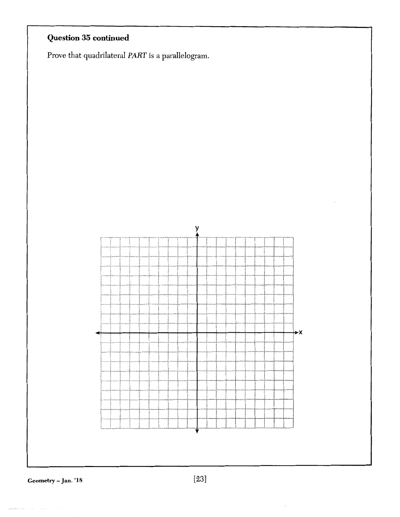# Question 35 continued

Prove that quadrilateral PART is a parallelogram.



Geometry - Jan. '18  $[23]$ 

 $\sim$ 

 $\overline{\phantom{a}}$